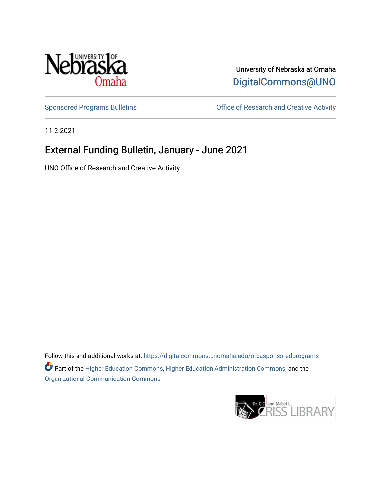

University of Nebraska at Omaha [DigitalCommons@UNO](https://digitalcommons.unomaha.edu/) 

[Sponsored Programs Bulletins](https://digitalcommons.unomaha.edu/orcasponsoredprograms) **Sulleting** Office of Research and Creative Activity

11-2-2021

### External Funding Bulletin, January - June 2021

UNO Office of Research and Creative Activity

Follow this and additional works at: [https://digitalcommons.unomaha.edu/orcasponsoredprograms](https://digitalcommons.unomaha.edu/orcasponsoredprograms?utm_source=digitalcommons.unomaha.edu%2Forcasponsoredprograms%2F43&utm_medium=PDF&utm_campaign=PDFCoverPages)  Part of the [Higher Education Commons,](http://network.bepress.com/hgg/discipline/1245?utm_source=digitalcommons.unomaha.edu%2Forcasponsoredprograms%2F43&utm_medium=PDF&utm_campaign=PDFCoverPages) [Higher Education Administration Commons,](http://network.bepress.com/hgg/discipline/791?utm_source=digitalcommons.unomaha.edu%2Forcasponsoredprograms%2F43&utm_medium=PDF&utm_campaign=PDFCoverPages) and the [Organizational Communication Commons](http://network.bepress.com/hgg/discipline/335?utm_source=digitalcommons.unomaha.edu%2Forcasponsoredprograms%2F43&utm_medium=PDF&utm_campaign=PDFCoverPages)

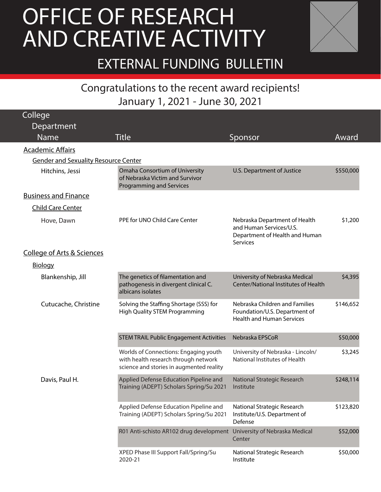### FOF RESEARCH January 1, 2021 - June 30, 2021 AND CREATIVE ACTIVITY OFFICE OF RESEARCH



EXTERNAL FUNDING BULLETIN

# Congratulations to the recent award recipients! January 1, 2021 - June 30, 2021

| <b>College</b>                              |                                                                                                                           |                                                                                                               |           |
|---------------------------------------------|---------------------------------------------------------------------------------------------------------------------------|---------------------------------------------------------------------------------------------------------------|-----------|
| Department                                  |                                                                                                                           |                                                                                                               |           |
| <b>Name</b>                                 | <b>Title</b>                                                                                                              | Sponsor                                                                                                       | Award     |
| <b>Academic Affairs</b>                     |                                                                                                                           |                                                                                                               |           |
| <b>Gender and Sexuality Resource Center</b> |                                                                                                                           |                                                                                                               |           |
| Hitchins, Jessi                             | Omaha Consortium of University<br>of Nebraska Victim and Survivor<br>Programming and Services                             | U.S. Department of Justice                                                                                    | \$550,000 |
| <b>Business and Finance</b>                 |                                                                                                                           |                                                                                                               |           |
| <b>Child Care Center</b>                    |                                                                                                                           |                                                                                                               |           |
| Hove, Dawn                                  | PPE for UNO Child Care Center                                                                                             | Nebraska Department of Health<br>and Human Services/U.S.<br>Department of Health and Human<br><b>Services</b> | \$1,200   |
| <b>College of Arts &amp; Sciences</b>       |                                                                                                                           |                                                                                                               |           |
| <b>Biology</b>                              |                                                                                                                           |                                                                                                               |           |
| Blankenship, Jill                           | The genetics of filamentation and<br>pathogenesis in divergent clinical C.<br>albicans isolates                           | University of Nebraska Medical<br>Center/National Institutes of Health                                        | \$4,395   |
| Cutucache, Christine                        | Solving the Staffing Shortage (SSS) for<br><b>High Quality STEM Programming</b>                                           | Nebraska Children and Families<br>Foundation/U.S. Department of<br><b>Health and Human Services</b>           | \$146,652 |
|                                             | <b>STEM TRAIL Public Engagement Activities</b>                                                                            | Nebraska EPSCoR                                                                                               | \$50,000  |
|                                             | Worlds of Connections: Engaging youth<br>with health research through network<br>science and stories in augmented reality | University of Nebraska - Lincoln/<br>National Institutes of Health                                            | \$3,245   |
| Davis, Paul H.                              | Applied Defense Education Pipeline and<br>Training (ADEPT) Scholars Spring/Su 2021                                        | National Strategic Research<br>Institute                                                                      | \$248,114 |
|                                             | Applied Defense Education Pipeline and<br>Training (ADEPT) Scholars Spring/Su 2021                                        | National Strategic Research<br>Institute/U.S. Department of<br>Defense                                        | \$123,820 |
|                                             | R01 Anti-schisto AR102 drug development University of Nebraska Medical                                                    | Center                                                                                                        | \$52,000  |
|                                             | XPED Phase III Support Fall/Spring/Su<br>2020-21                                                                          | National Strategic Research<br>Institute                                                                      | \$50,000  |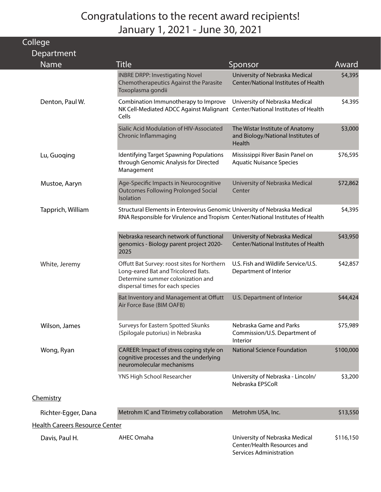| College                        |                                                                                                                                                             |                                                                                          |           |
|--------------------------------|-------------------------------------------------------------------------------------------------------------------------------------------------------------|------------------------------------------------------------------------------------------|-----------|
| Department                     |                                                                                                                                                             |                                                                                          |           |
| Name                           | <b>Title</b>                                                                                                                                                | Sponsor                                                                                  | Award     |
|                                | <b>INBRE DRPP: Investigating Novel</b><br>Chemotherapeutics Against the Parasite<br>Toxoplasma gondii                                                       | University of Nebraska Medical<br>Center/National Institutes of Health                   | \$4,395   |
| Denton, Paul W.                | Combination Immunotherapy to Improve<br>NK Cell-Mediated ADCC Against Malignant Center/National Institutes of Health<br>Cells                               | University of Nebraska Medical                                                           | \$4.395   |
|                                | Sialic Acid Modulation of HIV-Associated<br><b>Chronic Inflammaging</b>                                                                                     | The Wistar Institute of Anatomy<br>and Biology/National Institutes of<br>Health          | \$3,000   |
| Lu, Guoqing                    | Identifying Target Spawning Populations<br>through Genomic Analysis for Directed<br>Management                                                              | Mississippi River Basin Panel on<br><b>Aquatic Nuisance Species</b>                      | \$76,595  |
| Mustoe, Aaryn                  | Age-Specific Impacts in Neurocognitive<br><b>Outcomes Following Prolonged Social</b><br>Isolation                                                           | University of Nebraska Medical<br>Center                                                 | \$72,862  |
| Tapprich, William              | Structural Elements in Enterovirus Genomic University of Nebraska Medical<br>RNA Responsible for Virulence and Tropism Center/National Institutes of Health |                                                                                          | \$4,395   |
|                                | Nebraska research network of functional<br>genomics - Biology parent project 2020-<br>2025                                                                  | University of Nebraska Medical<br>Center/National Institutes of Health                   | \$43,950  |
| White, Jeremy                  | Offutt Bat Survey: roost sites for Northern<br>Long-eared Bat and Tricolored Bats.<br>Determine summer colonization and<br>dispersal times for each species | U.S. Fish and Wildlife Service/U.S.<br>Department of Interior                            | \$42,857  |
|                                | Bat Inventory and Management at Offutt<br>Air Force Base (BIM OAFB)                                                                                         | U.S. Department of Interior                                                              | \$44,424  |
| Wilson, James                  | Surveys for Eastern Spotted Skunks<br>(Spilogale putorius) in Nebraska                                                                                      | Nebraska Game and Parks<br>Commission/U.S. Department of<br>Interior                     | \$75,989  |
| Wong, Ryan                     | CAREER: Impact of stress coping style on<br>cognitive processes and the underlying<br>neuromolecular mechanisms                                             | <b>National Science Foundation</b>                                                       | \$100,000 |
|                                | YNS High School Researcher                                                                                                                                  | University of Nebraska - Lincoln/<br>Nebraska EPSCoR                                     | \$3,200   |
| Chemistry                      |                                                                                                                                                             |                                                                                          |           |
| Richter-Egger, Dana            | Metrohm IC and Titrimetry collaboration                                                                                                                     | Metrohm USA, Inc.                                                                        | \$13,550  |
| Health Careers Resource Center |                                                                                                                                                             |                                                                                          |           |
| Davis, Paul H.                 | <b>AHEC Omaha</b>                                                                                                                                           | University of Nebraska Medical<br>Center/Health Resources and<br>Services Administration | \$116,150 |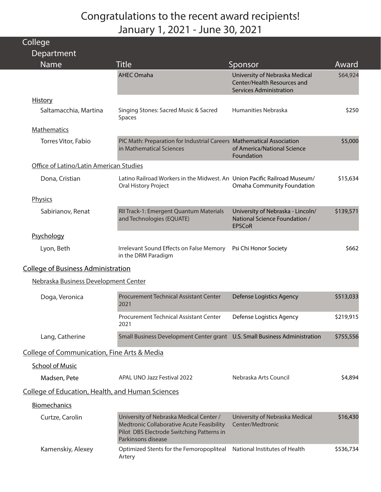| College                                                 |                                                                                                                                                         |                                                                                                 |           |
|---------------------------------------------------------|---------------------------------------------------------------------------------------------------------------------------------------------------------|-------------------------------------------------------------------------------------------------|-----------|
| Department<br>Name                                      | Title                                                                                                                                                   | Sponsor                                                                                         | Award     |
|                                                         | <b>AHEC Omaha</b>                                                                                                                                       | University of Nebraska Medical<br>Center/Health Resources and<br><b>Services Administration</b> | \$64,924  |
| <b>History</b>                                          |                                                                                                                                                         |                                                                                                 |           |
| Saltamacchia, Martina                                   | Singing Stones: Sacred Music & Sacred<br>Spaces                                                                                                         | Humanities Nebraska                                                                             | \$250     |
| <b>Mathematics</b>                                      |                                                                                                                                                         |                                                                                                 |           |
| Torres Vitor, Fabio                                     | PIC Math: Preparation for Industrial Careers Mathematical Association<br>in Mathematical Sciences                                                       | of America/National Science<br>Foundation                                                       | \$5,000   |
| Office of Latino/Latin American Studies                 |                                                                                                                                                         |                                                                                                 |           |
| Dona, Cristian                                          | Latino Railroad Workers in the Midwest. An Union Pacific Railroad Museum/<br>Oral History Project                                                       | <b>Omaha Community Foundation</b>                                                               | \$15,634  |
| Physics                                                 |                                                                                                                                                         |                                                                                                 |           |
| Sabirianov, Renat                                       | RII Track-1: Emergent Quantum Materials<br>and Technologies (EQUATE)                                                                                    | University of Nebraska - Lincoln/<br>National Science Foundation /<br><b>EPSCoR</b>             | \$139,571 |
| Psychology                                              |                                                                                                                                                         |                                                                                                 |           |
| Lyon, Beth                                              | Irrelevant Sound Effects on False Memory<br>in the DRM Paradigm                                                                                         | Psi Chi Honor Society                                                                           | \$662     |
| <b>College of Business Administration</b>               |                                                                                                                                                         |                                                                                                 |           |
| Nebraska Business Development Center                    |                                                                                                                                                         |                                                                                                 |           |
| Doga, Veronica                                          | <b>Procurement Technical Assistant Center</b><br>2021                                                                                                   | <b>Defense Logistics Agency</b>                                                                 | \$513,033 |
|                                                         | Procurement Technical Assistant Center<br>2021                                                                                                          | Defense Logistics Agency                                                                        | \$219,915 |
| Lang, Catherine                                         | Small Business Development Center grant U.S. Small Business Administration                                                                              |                                                                                                 | \$755,556 |
| <b>College of Communication, Fine Arts &amp; Media</b>  |                                                                                                                                                         |                                                                                                 |           |
| <b>School of Music</b>                                  |                                                                                                                                                         |                                                                                                 |           |
| Madsen, Pete                                            | APAL UNO Jazz Festival 2022                                                                                                                             | Nebraska Arts Council                                                                           | \$4,894   |
| <b>College of Education, Health, and Human Sciences</b> |                                                                                                                                                         |                                                                                                 |           |
| Biomechanics                                            |                                                                                                                                                         |                                                                                                 |           |
| Curtze, Carolin                                         | University of Nebraska Medical Center /<br>Medtronic Collaborative Acute Feasibility<br>Pilot DBS Electrode Switching Patterns in<br>Parkinsons disease | University of Nebraska Medical<br>Center/Medtronic                                              | \$16,430  |
| Kamenskiy, Alexey                                       | Optimized Stents for the Femoropopliteal<br>Artery                                                                                                      | National Institutes of Health                                                                   | \$536,734 |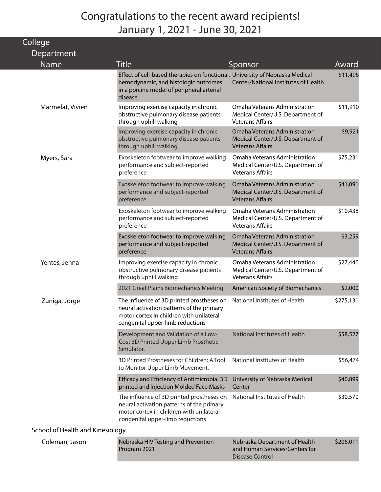| College                                 |                                                                                                                                                                              |                                                                                               |           |
|-----------------------------------------|------------------------------------------------------------------------------------------------------------------------------------------------------------------------------|-----------------------------------------------------------------------------------------------|-----------|
| Department                              |                                                                                                                                                                              |                                                                                               |           |
| <b>Name</b>                             | <b>Title</b>                                                                                                                                                                 | Sponsor                                                                                       | Award     |
|                                         | Effect of cell-based therapies on functional, University of Nebraska Medical<br>hemodynamic, and histologic outcomes<br>in a porcine model of peripheral arterial<br>disease | Center/National Institutes of Health                                                          | \$11,496  |
| Marmelat, Vivien                        | Improving exercise capacity in chronic<br>obstructive pulmonary disease patients<br>through uphill walking                                                                   | Omaha Veterans Administration<br>Medical Center/U.S. Department of<br><b>Veterans Affairs</b> | \$11,910  |
|                                         | Improving exercise capacity in chronic<br>obstructive pulmonary disease patients<br>through uphill walking                                                                   | Omaha Veterans Administration<br>Medical Center/U.S. Department of<br><b>Veterans Affairs</b> | \$9,921   |
| Myers, Sara                             | Exoskeleton footwear to improve walking<br>performance and subject-reported<br>preference                                                                                    | Omaha Veterans Administration<br>Medical Center/U.S. Department of<br><b>Veterans Affairs</b> | \$75,231  |
|                                         | Exoskeleton footwear to improve walking<br>performance and subject-reported<br>preference                                                                                    | Omaha Veterans Administration<br>Medical Center/U.S. Department of<br><b>Veterans Affairs</b> | \$41,091  |
|                                         | Exoskeleton footwear to improve walking<br>performance and subject-reported<br>preference                                                                                    | Omaha Veterans Administration<br>Medical Center/U.S. Department of<br><b>Veterans Affairs</b> | \$10,438  |
|                                         | Exoskeleton footwear to improve walking<br>performance and subject-reported<br>preference                                                                                    | Omaha Veterans Administration<br>Medical Center/U.S. Department of<br><b>Veterans Affairs</b> | \$3,259   |
| Yentes, Jenna                           | Improving exercise capacity in chronic<br>obstructive pulmonary disease patients<br>through uphill walking                                                                   | Omaha Veterans Administration<br>Medical Center/U.S. Department of<br><b>Veterans Affairs</b> | \$27,440  |
|                                         | 2021 Great Plains Biomechanics Meeting                                                                                                                                       | American Society of Biomechanics                                                              | \$2,000   |
| Zuniga, Jorge                           | The influence of 3D printed prostheses on<br>neural activation patterns of the primary<br>motor cortex in children with unilateral<br>congenital upper-limb reductions       | National Institutes of Health                                                                 | \$275,131 |
|                                         | Development and Validation of a Low-<br>Cost 3D Printed Upper Limb Prosthetic<br>Simulator.                                                                                  | <b>National Institutes of Health</b>                                                          | \$58,527  |
|                                         | 3D Printed Prostheses for Children: A Tool<br>to Monitor Upper Limb Movement.                                                                                                | National Institutes of Health                                                                 | \$56,474  |
|                                         | Efficacy and Efficiency of Antimicrobial 3D<br>printed and Injection Molded Face Masks                                                                                       | University of Nebraska Medical<br>Center                                                      | \$40,899  |
|                                         | The influence of 3D printed prostheses on<br>neural activation patterns of the primary<br>motor cortex in children with unilateral<br>congenital upper-limb reductions       | National Institutes of Health                                                                 | \$30,570  |
| <b>School of Health and Kinesiology</b> |                                                                                                                                                                              |                                                                                               |           |
| Coleman, Jason                          | Nebraska HIV Testing and Prevention<br>Program 2021                                                                                                                          | Nebraska Department of Health<br>and Human Services/Centers for                               | \$206,011 |

Disease Control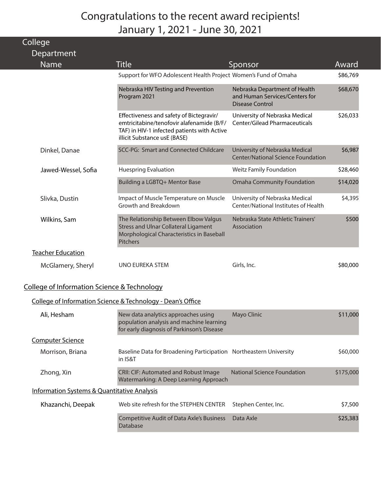| College<br>Department    |                                                                                                                                                                      |                                                                                           |          |
|--------------------------|----------------------------------------------------------------------------------------------------------------------------------------------------------------------|-------------------------------------------------------------------------------------------|----------|
| <b>Name</b>              | Title                                                                                                                                                                | Sponsor                                                                                   | Award    |
|                          | Support for WFO Adolescent Health Project Women's Fund of Omaha                                                                                                      |                                                                                           | \$86,769 |
|                          | Nebraska HIV Testing and Prevention<br>Program 2021                                                                                                                  | Nebraska Department of Health<br>and Human Services/Centers for<br><b>Disease Control</b> | \$68,670 |
|                          | Effectiveness and safety of Bictegravir/<br>emtricitabine/tenofovir alafenamide (B/F/<br>TAF) in HIV-1 infected patients with Active<br>illicit Substance usE (BASE) | University of Nebraska Medical<br><b>Center/Gilead Pharmaceuticals</b>                    | \$26,033 |
| Dinkel, Danae            | SCC-PG: Smart and Connected Childcare                                                                                                                                | University of Nebraska Medical<br><b>Center/National Science Foundation</b>               | \$6,987  |
| Jawed-Wessel, Sofia      | <b>Huespring Evaluation</b>                                                                                                                                          | <b>Weitz Family Foundation</b>                                                            | \$28,460 |
|                          | Building a LGBTQ+ Mentor Base                                                                                                                                        | <b>Omaha Community Foundation</b>                                                         | \$14,020 |
| Slivka, Dustin           | Impact of Muscle Temperature on Muscle<br>Growth and Breakdown                                                                                                       | University of Nebraska Medical<br>Center/National Institutes of Health                    | \$4,395  |
| Wilkins, Sam             | The Relationship Between Elbow Valgus<br><b>Stress and Ulnar Collateral Ligament</b><br>Morphological Characteristics in Baseball<br><b>Pitchers</b>                 | Nebraska State Athletic Trainers'<br>Association                                          | \$500    |
| <b>Teacher Education</b> |                                                                                                                                                                      |                                                                                           |          |
| McGlamery, Sheryl        | UNO EUREKA STEM                                                                                                                                                      | Girls, Inc.                                                                               | \$80,000 |

#### College of Information Science & Technology

#### College of Information Science & Technology - Dean's Office

| Ali, Hesham                                            | New data analytics approaches using<br>population analysis and machine learning<br>for early diagnosis of Parkinson's Disease | Mayo Clinic                 | \$11,000  |
|--------------------------------------------------------|-------------------------------------------------------------------------------------------------------------------------------|-----------------------------|-----------|
| <b>Computer Science</b>                                |                                                                                                                               |                             |           |
| Morrison, Briana                                       | Baseline Data for Broadening Participation Northeastern University<br>in IS&T                                                 |                             | \$60,000  |
| Zhong, Xin                                             | <b>CRII: CIF: Automated and Robust Image</b><br>Watermarking: A Deep Learning Approach                                        | National Science Foundation | \$175,000 |
| <b>Information Systems &amp; Quantitative Analysis</b> |                                                                                                                               |                             |           |
| Khazanchi, Deepak                                      | Web site refresh for the STEPHEN CENTER                                                                                       | Stephen Center, Inc.        | \$7,500   |
|                                                        | <b>Competitive Audit of Data Axle's Business</b><br>Database                                                                  | Data Axle                   | \$25,383  |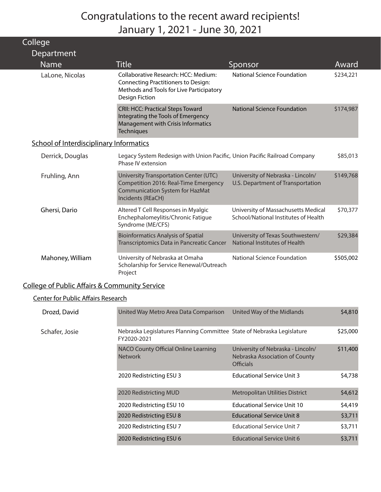| Collede                                        |                                                                                                                                                         |                                                                             |           |
|------------------------------------------------|---------------------------------------------------------------------------------------------------------------------------------------------------------|-----------------------------------------------------------------------------|-----------|
| Department                                     |                                                                                                                                                         |                                                                             |           |
| <b>Name</b>                                    | <b>Title</b>                                                                                                                                            | Sponsor                                                                     | Award     |
| LaLone, Nicolas                                | Collaborative Research: HCC: Medium:<br><b>Connecting Practitioners to Design:</b><br>Methods and Tools for Live Participatory<br><b>Design Fiction</b> | <b>National Science Foundation</b>                                          | \$234,221 |
|                                                | <b>CRII: HCC: Practical Steps Toward</b><br>Integrating the Tools of Emergency<br>Management with Crisis Informatics<br><b>Techniques</b>               | <b>National Science Foundation</b>                                          | \$174,987 |
| <b>School of Interdisciplinary Informatics</b> |                                                                                                                                                         |                                                                             |           |
| Derrick, Douglas                               | Legacy System Redesign with Union Pacific, Union Pacific Railroad Company<br>Phase IV extension                                                         |                                                                             | \$85,013  |
| Fruhling, Ann                                  | University Transportation Center (UTC)<br>Competition 2016: Real-Time Emergency<br><b>Communication System for HazMat</b><br>Incidents (REaCH)          | University of Nebraska - Lincoln/<br>U.S. Department of Transportation      | \$149,768 |
| Ghersi, Dario                                  | Altered T Cell Responses in Myalgic<br>Enchephalomeylitis/Chronic Fatigue<br>Syndrome (ME/CFS)                                                          | University of Massachusetts Medical<br>School/National Institutes of Health | \$70,377  |
|                                                | <b>Bioinformatics Analysis of Spatial</b><br>Transcriptomics Data in Pancreatic Cancer                                                                  | University of Texas Southwestern/<br>National Institutes of Health          | \$29,384  |
| Mahoney, William                               | University of Nebraska at Omaha<br>Scholarship for Service Renewal/Outreach<br>Project                                                                  | <b>National Science Foundation</b>                                          | \$505,002 |

#### College of Public Affairs & Community Service

#### Center for Public Affairs Research

 $\sim$  III.

| Drozd, David   | United Way Metro Area Data Comparison                                                 | United Way of the Midlands                                                              | \$4,810  |
|----------------|---------------------------------------------------------------------------------------|-----------------------------------------------------------------------------------------|----------|
| Schafer, Josie | Nebraska Legislatures Planning Committee State of Nebraska Legislature<br>FY2020-2021 |                                                                                         | \$25,000 |
|                | NACO County Official Online Learning<br><b>Network</b>                                | University of Nebraska - Lincoln/<br>Nebraska Association of County<br><b>Officials</b> | \$11,400 |
|                | 2020 Redistricting ESU 3                                                              | <b>Educational Service Unit 3</b>                                                       | \$4,738  |
|                | 2020 Redistricting MUD                                                                | <b>Metropolitan Utilities District</b>                                                  | \$4,612  |
|                | 2020 Redistricting ESU 10                                                             | <b>Educational Service Unit 10</b>                                                      | \$4,419  |
|                | 2020 Redistricting ESU 8                                                              | <b>Educational Service Unit 8</b>                                                       | \$3,711  |
|                | 2020 Redistricting ESU 7                                                              | <b>Educational Service Unit 7</b>                                                       | \$3,711  |
|                | 2020 Redistricting ESU 6                                                              | <b>Educational Service Unit 6</b>                                                       | \$3,711  |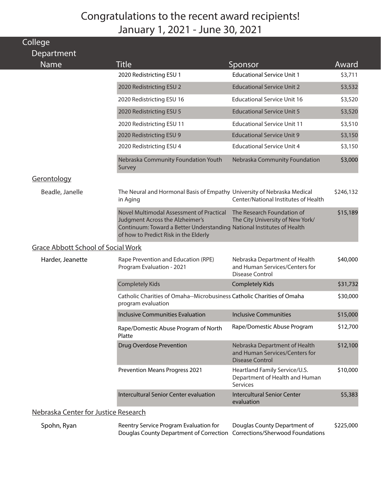| College                                   |                                                                                                                                                                                                |                                                                                           |           |
|-------------------------------------------|------------------------------------------------------------------------------------------------------------------------------------------------------------------------------------------------|-------------------------------------------------------------------------------------------|-----------|
| Department                                |                                                                                                                                                                                                |                                                                                           |           |
| <b>Name</b>                               | <b>Title</b>                                                                                                                                                                                   | Sponsor                                                                                   | Award     |
|                                           | 2020 Redistricting ESU 1                                                                                                                                                                       | <b>Educational Service Unit 1</b>                                                         | \$3,711   |
|                                           | 2020 Redistricting ESU 2                                                                                                                                                                       | <b>Educational Service Unit 2</b>                                                         | \$3,532   |
|                                           | 2020 Redistricting ESU 16                                                                                                                                                                      | <b>Educational Service Unit 16</b>                                                        | \$3,520   |
|                                           | 2020 Redistricting ESU 5                                                                                                                                                                       | <b>Educational Service Unit 5</b>                                                         | \$3,520   |
|                                           | 2020 Redistricting ESU 11                                                                                                                                                                      | <b>Educational Service Unit 11</b>                                                        | \$3,510   |
|                                           | 2020 Redistricting ESU 9                                                                                                                                                                       | <b>Educational Service Unit 9</b>                                                         | \$3,150   |
|                                           | 2020 Redistricting ESU 4                                                                                                                                                                       | <b>Educational Service Unit 4</b>                                                         | \$3,150   |
|                                           | Nebraska Community Foundation Youth<br>Survey                                                                                                                                                  | Nebraska Community Foundation                                                             | \$3,000   |
| Gerontology                               |                                                                                                                                                                                                |                                                                                           |           |
| Beadle, Janelle                           | The Neural and Hormonal Basis of Empathy University of Nebraska Medical<br>in Aging                                                                                                            | Center/National Institutes of Health                                                      | \$246,132 |
|                                           | Novel Multimodal Assessment of Practical<br>Judgment Across the Alzheimer's<br>Continuum: Toward a Better Understanding National Institutes of Health<br>of how to Predict Risk in the Elderly | The Research Foundation of<br>The City University of New York/                            | \$15,189  |
| <b>Grace Abbott School of Social Work</b> |                                                                                                                                                                                                |                                                                                           |           |
| Harder, Jeanette                          | Rape Prevention and Education (RPE)<br>Program Evaluation - 2021                                                                                                                               | Nebraska Department of Health<br>and Human Services/Centers for<br>Disease Control        | \$40,000  |
|                                           | <b>Completely Kids</b>                                                                                                                                                                         | <b>Completely Kids</b>                                                                    | \$31,732  |
|                                           | Catholic Charities of Omaha--Microbusiness Catholic Charities of Omaha<br>program evaluation                                                                                                   |                                                                                           | \$30,000  |
|                                           | Inclusive Communities Evaluation                                                                                                                                                               | <b>Inclusive Communities</b>                                                              | \$15,000  |
|                                           | Rape/Domestic Abuse Program of North<br>Platte                                                                                                                                                 | Rape/Domestic Abuse Program                                                               | \$12,700  |
|                                           | <b>Drug Overdose Prevention</b>                                                                                                                                                                | Nebraska Department of Health<br>and Human Services/Centers for<br><b>Disease Control</b> | \$12,100  |
|                                           | <b>Prevention Means Progress 2021</b>                                                                                                                                                          | Heartland Family Service/U.S.<br>Department of Health and Human<br>Services               | \$10,000  |
|                                           | Intercultural Senior Center evaluation                                                                                                                                                         | <b>Intercultural Senior Center</b><br>evaluation                                          | \$5,383   |
| Nebraska Center for Justice Research      |                                                                                                                                                                                                |                                                                                           |           |
| Spohn, Ryan                               | Reentry Service Program Evaluation for                                                                                                                                                         | Douglas County Department of                                                              | \$225,000 |

Spohn, Ryan Reentry Service Program Evaluation for Douglas County Department of Correction Corrections/Sherwood Foundations Douglas County Department of